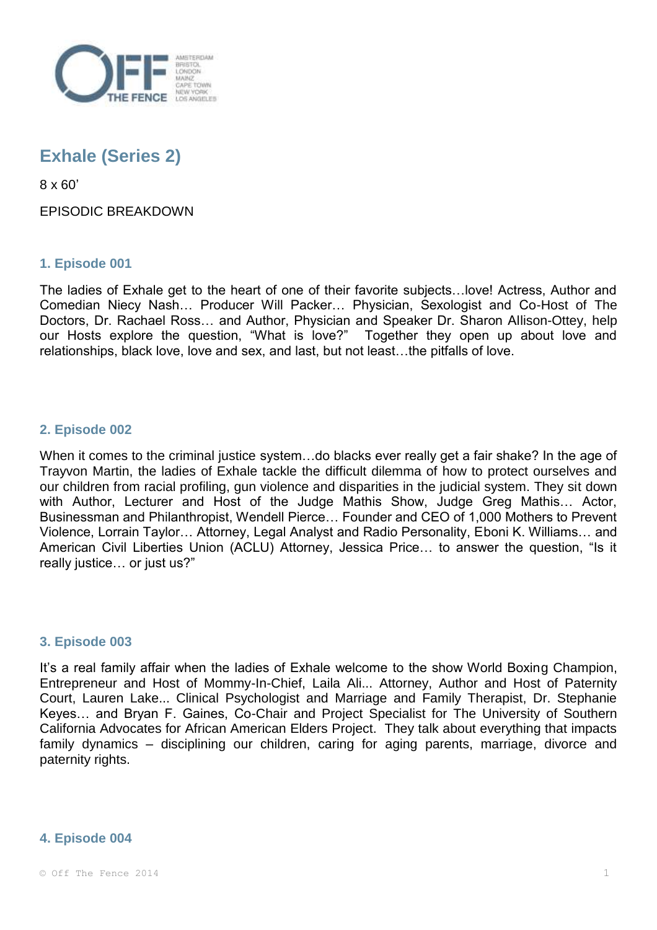

# **Exhale (Series 2)**

8 x 60'

## EPISODIC BREAKDOWN

## **1. Episode 001**

The ladies of Exhale get to the heart of one of their favorite subjects…love! Actress, Author and Comedian Niecy Nash… Producer Will Packer… Physician, Sexologist and Co-Host of The Doctors, Dr. Rachael Ross… and Author, Physician and Speaker Dr. Sharon Allison-Ottey, help our Hosts explore the question, "What is love?" Together they open up about love and relationships, black love, love and sex, and last, but not least…the pitfalls of love.

## **2. Episode 002**

When it comes to the criminal justice system…do blacks ever really get a fair shake? In the age of Trayvon Martin, the ladies of Exhale tackle the difficult dilemma of how to protect ourselves and our children from racial profiling, gun violence and disparities in the judicial system. They sit down with Author, Lecturer and Host of the Judge Mathis Show, Judge Greg Mathis… Actor, Businessman and Philanthropist, Wendell Pierce… Founder and CEO of 1,000 Mothers to Prevent Violence, Lorrain Taylor… Attorney, Legal Analyst and Radio Personality, Eboni K. Williams… and American Civil Liberties Union (ACLU) Attorney, Jessica Price… to answer the question, "Is it really justice… or just us?"

### **3. Episode 003**

It's a real family affair when the ladies of Exhale welcome to the show World Boxing Champion, Entrepreneur and Host of Mommy-In-Chief, Laila Ali... Attorney, Author and Host of Paternity Court, Lauren Lake... Clinical Psychologist and Marriage and Family Therapist, Dr. Stephanie Keyes… and Bryan F. Gaines, Co-Chair and Project Specialist for The University of Southern California Advocates for African American Elders Project. They talk about everything that impacts family dynamics – disciplining our children, caring for aging parents, marriage, divorce and paternity rights.

### **4. Episode 004**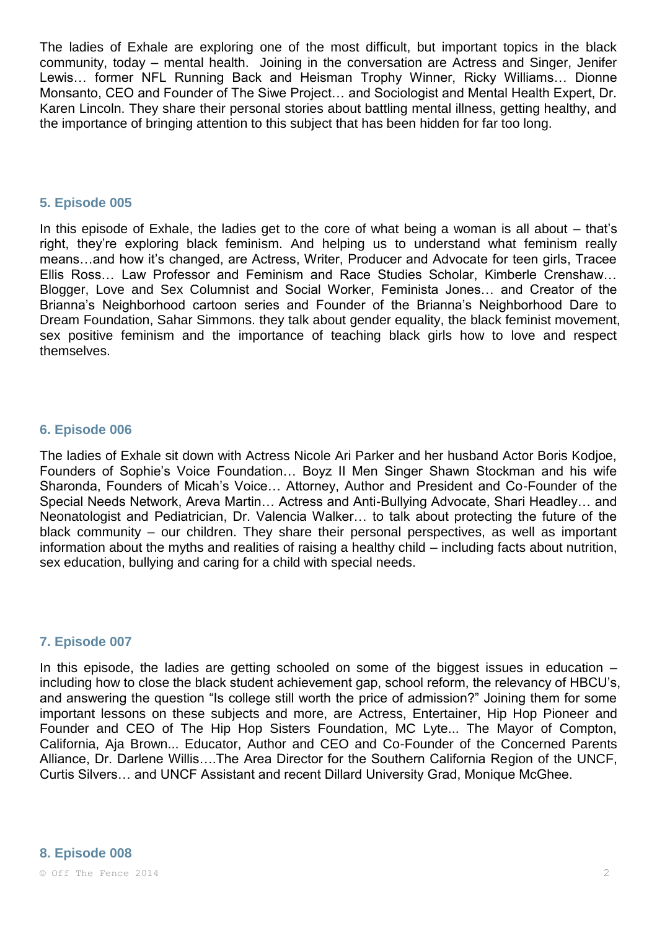The ladies of Exhale are exploring one of the most difficult, but important topics in the black community, today – mental health. Joining in the conversation are Actress and Singer, Jenifer Lewis… former NFL Running Back and Heisman Trophy Winner, Ricky Williams… Dionne Monsanto, CEO and Founder of The Siwe Project… and Sociologist and Mental Health Expert, Dr. Karen Lincoln. They share their personal stories about battling mental illness, getting healthy, and the importance of bringing attention to this subject that has been hidden for far too long.

#### **5. Episode 005**

In this episode of Exhale, the ladies get to the core of what being a woman is all about – that's right, they're exploring black feminism. And helping us to understand what feminism really means…and how it's changed, are Actress, Writer, Producer and Advocate for teen girls, Tracee Ellis Ross… Law Professor and Feminism and Race Studies Scholar, Kimberle Crenshaw… Blogger, Love and Sex Columnist and Social Worker, Feminista Jones… and Creator of the Brianna's Neighborhood cartoon series and Founder of the Brianna's Neighborhood Dare to Dream Foundation, Sahar Simmons. they talk about gender equality, the black feminist movement, sex positive feminism and the importance of teaching black girls how to love and respect themselves.

### **6. Episode 006**

The ladies of Exhale sit down with Actress Nicole Ari Parker and her husband Actor Boris Kodjoe, Founders of Sophie's Voice Foundation… Boyz II Men Singer Shawn Stockman and his wife Sharonda, Founders of Micah's Voice… Attorney, Author and President and Co-Founder of the Special Needs Network, Areva Martin… Actress and Anti-Bullying Advocate, Shari Headley… and Neonatologist and Pediatrician, Dr. Valencia Walker… to talk about protecting the future of the black community – our children. They share their personal perspectives, as well as important information about the myths and realities of raising a healthy child – including facts about nutrition, sex education, bullying and caring for a child with special needs.

### **7. Episode 007**

In this episode, the ladies are getting schooled on some of the biggest issues in education – including how to close the black student achievement gap, school reform, the relevancy of HBCU's, and answering the question "Is college still worth the price of admission?" Joining them for some important lessons on these subjects and more, are Actress, Entertainer, Hip Hop Pioneer and Founder and CEO of The Hip Hop Sisters Foundation, MC Lyte... The Mayor of Compton, California, Aja Brown... Educator, Author and CEO and Co-Founder of the Concerned Parents Alliance, Dr. Darlene Willis….The Area Director for the Southern California Region of the UNCF, Curtis Silvers… and UNCF Assistant and recent Dillard University Grad, Monique McGhee.